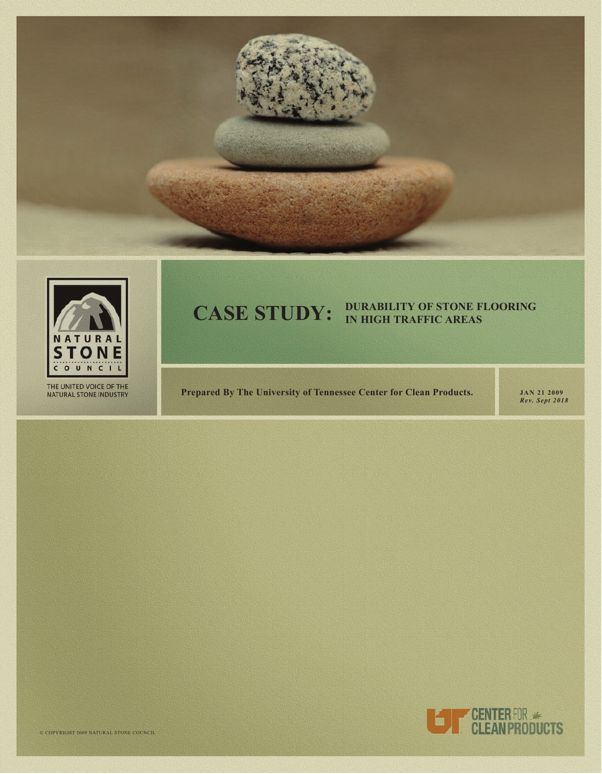



THE UNITED VOICE OF THE NATURAL STONE INDUSTRY

## **DUrAbiliTY of STonE flooring eas CASE STUDY:**

**Prepared By The University of Tennessee Center for Clean Products.** JAN 21 2009

*Rev. Sept 2018*

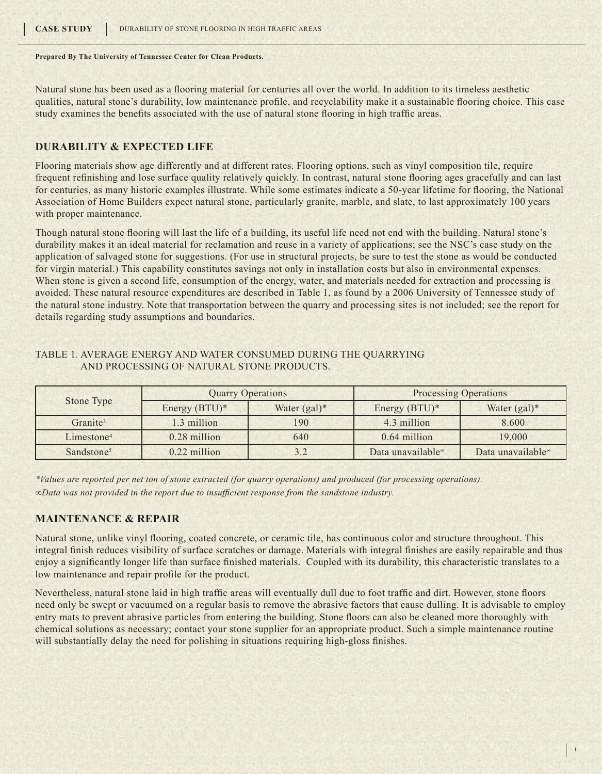Natural stone has been used as a flooring material for centuries all over the world. In addition to its timeless aesthetic qualities, natural stone's durability, low maintenance profile, and recyclability make it a sustainable flooring choice. This case study examines the benefits associated with the use of natural stone flooring in high traffic areas.

#### **Durability & Expected Life**

Flooring materials show age differently and at different rates. Flooring options, such as vinyl composition tile, require frequent refinishing and lose surface quality relatively quickly. In contrast, natural stone flooring ages gracefully and can last for centuries, as many historic examples illustrate. While some estimates indicate a 50-year lifetime for flooring, the National Association of Home Builders expect natural stone, particularly granite, marble, and slate, to last approximately 100 years with proper maintenance.

Though natural stone flooring will last the life of a building, its useful life need not end with the building. Natural stone's durability makes it an ideal material for reclamation and reuse in a variety of applications; see the NSC's case study on the application of salvaged stone for suggestions. (For use in structural projects, be sure to test the stone as would be conducted for virgin material.) This capability constitutes savings not only in installation costs but also in environmental expenses. When stone is given a second life, consumption of the energy, water, and materials needed for extraction and processing is avoided. These natural resource expenditures are described in Table 1, as found by a 2006 University of Tennessee study of the natural stone industry. Note that transportation between the quarry and processing sites is not included; see the report for details regarding study assumptions and boundaries.

#### Table 1. Average energy and water consumed during the quarrying and processing of natural stone products.

| Stone Type             |                  | <b>Quarry Operations</b> | <b>Processing Operations</b> |                               |  |
|------------------------|------------------|--------------------------|------------------------------|-------------------------------|--|
|                        | Energy $(BTU)^*$ | Water $(gal)^*$          | Energy $(BTU)^*$             | Water $(gal)^*$               |  |
| Granite <sup>3</sup>   | 1.3 million      | 190                      | 4.3 million                  | 8.600                         |  |
| Limestone <sup>4</sup> | 0.28 million     | 640                      | 0.64 million                 | 19,000                        |  |
| Sandstone <sup>5</sup> | $0.22$ million   |                          | Data unavailable             | Data unavailable <sup>∞</sup> |  |

*\*Values are reported per net ton of stone extracted (for quarry operations) and produced (for processing operations). ∞Data was not provided in the report due to insufficient response from the sandstone industry.*

#### **Maintenance & Repair**

Natural stone, unlike vinyl flooring, coated concrete, or ceramic tile, has continuous color and structure throughout. This integral finish reduces visibility of surface scratches or damage. Materials with integral finishes are easily repairable and thus enjoy a significantly longer life than surface finished materials. Coupled with its durability, this characteristic translates to a low maintenance and repair profile for the product.

Nevertheless, natural stone laid in high traffic areas will eventually dull due to foot traffic and dirt. However, stone floors need only be swept or vacuumed on a regular basis to remove the abrasive factors that cause dulling. It is advisable to employ entry mats to prevent abrasive particles from entering the building. Stone floors can also be cleaned more thoroughly with chemical solutions as necessary; contact your stone supplier for an appropriate product. Such a simple maintenance routine will substantially delay the need for polishing in situations requiring high-gloss finishes.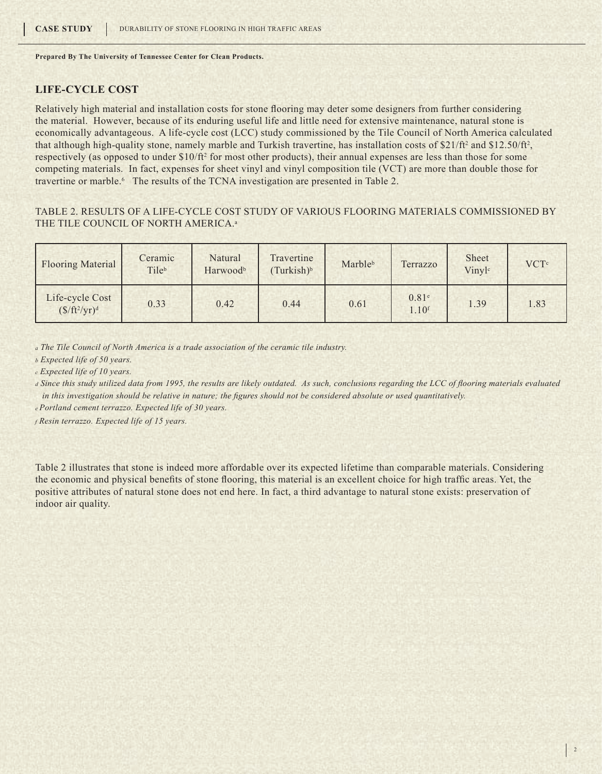### **Life-Cycle Cost**

Relatively high material and installation costs for stone flooring may deter some designers from further considering the material. However, because of its enduring useful life and little need for extensive maintenance, natural stone is economically advantageous. A life-cycle cost (LCC) study commissioned by the Tile Council of North America calculated that although high-quality stone, namely marble and Turkish travertine, has installation costs of  $$21/ft^2$  and  $$12.50/ft^2$ , respectively (as opposed to under \$10/ft2 for most other products), their annual expenses are less than those for some competing materials. In fact, expenses for sheet vinyl and vinyl composition tile (VCT) are more than double those for travertine or marble.<sup>6</sup> The results of the TCNA investigation are presented in Table 2.

#### Table 2. Results of a life-cycle cost study of various flooring materials commissioned by THE TILE COUNCIL OF NORTH AMERICA.<sup>a</sup>

| <b>Flooring Material</b>                   | Ceramic<br>Tileb | Natural<br>Harwoodb | Travertine<br>Turkish) <sup>b</sup> | Marbleb | Terrazzo                               | Sheet<br>Vinyl <sup>c</sup> | <b>VCT</b> <sup>c</sup> |
|--------------------------------------------|------------------|---------------------|-------------------------------------|---------|----------------------------------------|-----------------------------|-------------------------|
| Life-cycle Cost<br>$(\frac{f}{f}t^2/yr)^d$ | 0.33             | 0.42                | 0.44                                | 0.61    | 0.81 <sup>e</sup><br>1.10 <sup>f</sup> | 1.39                        | 1.83                    |

*<sup>a</sup> The Tile Council of North America is a trade association of the ceramic tile industry.*

*b Expected life of 50 years.*

*c Expected life of 10 years.*

*<sup>d</sup> Since this study utilized data from 1995, the results are likely outdated. As such, conclusions regarding the LCC of flooring materials evaluated in this investigation should be relative in nature; the figures should not be considered absolute or used quantitatively.*

*<sup>e</sup>Portland cement terrazzo. Expected life of 30 years.*

*<sup>f</sup> Resin terrazzo. Expected life of 15 years.*

Table 2 illustrates that stone is indeed more affordable over its expected lifetime than comparable materials. Considering the economic and physical benefits of stone flooring, this material is an excellent choice for high traffic areas. Yet, the positive attributes of natural stone does not end here. In fact, a third advantage to natural stone exists: preservation of indoor air quality.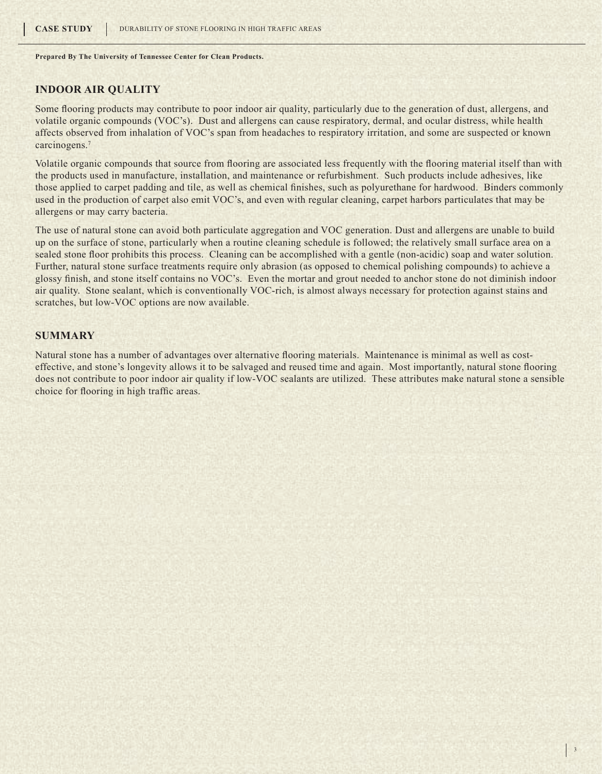#### **Indoor Air Quality**

Some flooring products may contribute to poor indoor air quality, particularly due to the generation of dust, allergens, and volatile organic compounds (VOC's). Dust and allergens can cause respiratory, dermal, and ocular distress, while health affects observed from inhalation of VOC's span from headaches to respiratory irritation, and some are suspected or known carcinogens.<sup>7</sup>

Volatile organic compounds that source from flooring are associated less frequently with the flooring material itself than with the products used in manufacture, installation, and maintenance or refurbishment. Such products include adhesives, like those applied to carpet padding and tile, as well as chemical finishes, such as polyurethane for hardwood. Binders commonly used in the production of carpet also emit VOC's, and even with regular cleaning, carpet harbors particulates that may be allergens or may carry bacteria.

The use of natural stone can avoid both particulate aggregation and VOC generation. Dust and allergens are unable to build up on the surface of stone, particularly when a routine cleaning schedule is followed; the relatively small surface area on a sealed stone floor prohibits this process. Cleaning can be accomplished with a gentle (non-acidic) soap and water solution. Further, natural stone surface treatments require only abrasion (as opposed to chemical polishing compounds) to achieve a glossy finish, and stone itself contains no VOC's. Even the mortar and grout needed to anchor stone do not diminish indoor air quality. Stone sealant, which is conventionally VOC-rich, is almost always necessary for protection against stains and scratches, but low-VOC options are now available.

#### **Summary**

Natural stone has a number of advantages over alternative flooring materials. Maintenance is minimal as well as costeffective, and stone's longevity allows it to be salvaged and reused time and again. Most importantly, natural stone flooring does not contribute to poor indoor air quality if low-VOC sealants are utilized. These attributes make natural stone a sensible choice for flooring in high traffic areas.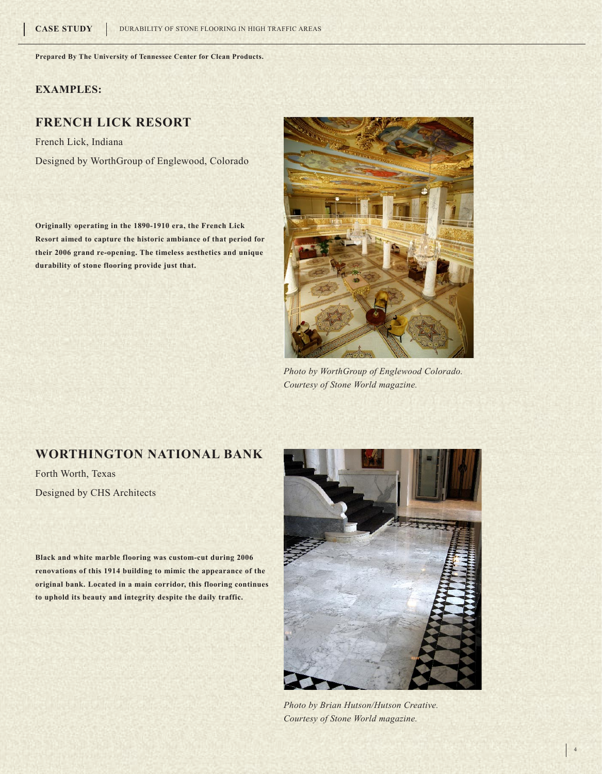### **Examples:**

## **French Lick Resort**

French Lick, Indiana Designed by WorthGroup of Englewood, Colorado

**Originally operating in the 1890-1910 era, the French Lick Resort aimed to capture the historic ambiance of that period for their 2006 grand re-opening. The timeless aesthetics and unique durability of stone flooring provide just that.** 



*Photo by WorthGroup of Englewood Colorado. Courtesy of Stone World magazine.*

### **Worthington National Bank**

Forth Worth, Texas Designed by CHS Architects

**Black and white marble flooring was custom-cut during 2006 renovations of this 1914 building to mimic the appearance of the original bank. Located in a main corridor, this flooring continues to uphold its beauty and integrity despite the daily traffic.**



*Photo by Brian Hutson/Hutson Creative. Courtesy of Stone World magazine.*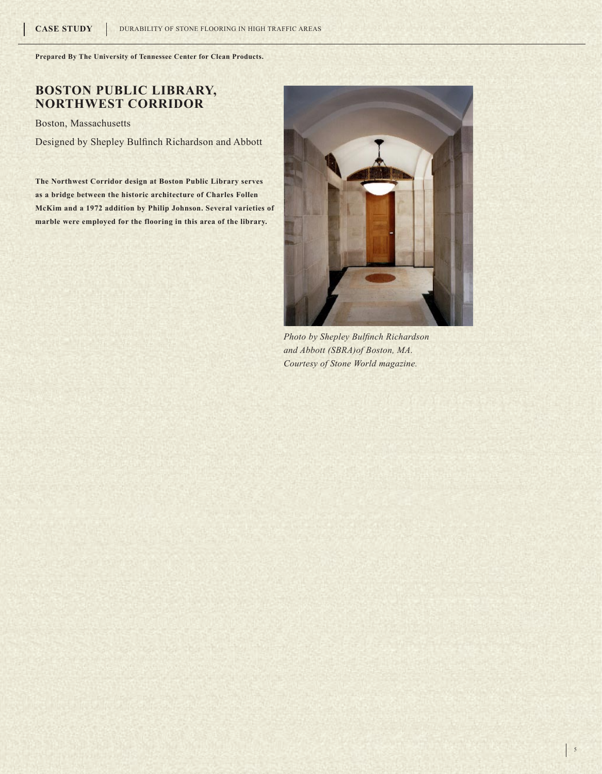# **Boston Public Library, Northwest Corridor**

Boston, Massachusetts

Designed by Shepley Bulfinch Richardson and Abbott

**The Northwest Corridor design at Boston Public Library serves as a bridge between the historic architecture of Charles Follen McKim and a 1972 addition by Philip Johnson. Several varieties of marble were employed for the flooring in this area of the library.**



*Photo by Shepley Bulfinch Richardson and Abbott (SBRA)of Boston, MA. Courtesy of Stone World magazine.*